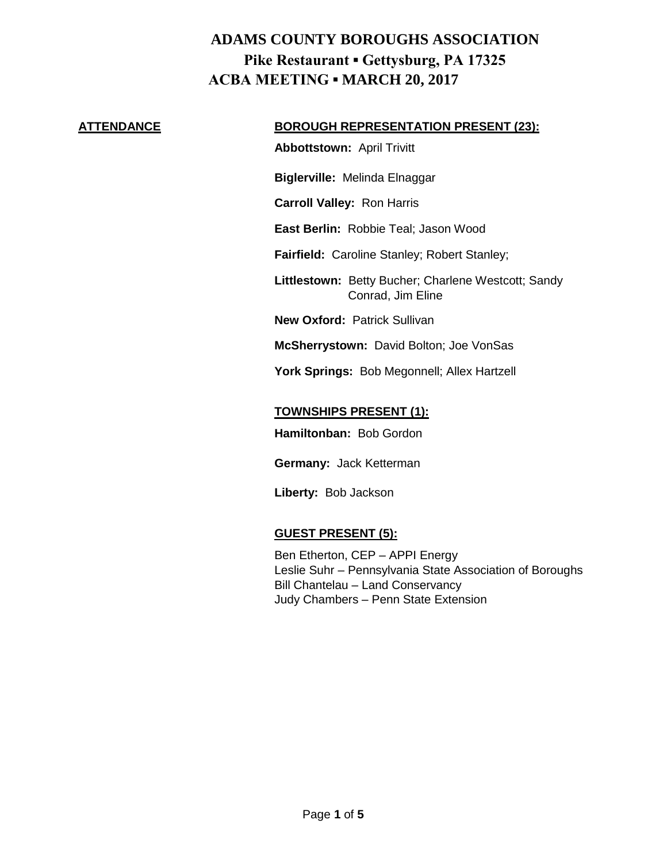#### **ATTENDANCE BOROUGH REPRESENTATION PRESENT (23):**

**Abbottstown:** April Trivitt

**Biglerville:** Melinda Elnaggar

**Carroll Valley:** Ron Harris

**East Berlin:** Robbie Teal; Jason Wood

**Fairfield:** Caroline Stanley; Robert Stanley;

**Littlestown:** Betty Bucher; Charlene Westcott; Sandy Conrad, Jim Eline

**New Oxford:** Patrick Sullivan

**McSherrystown:** David Bolton; Joe VonSas

**York Springs:** Bob Megonnell; Allex Hartzell

#### **TOWNSHIPS PRESENT (1):**

**Hamiltonban:** Bob Gordon

**Germany:** Jack Ketterman

**Liberty:** Bob Jackson

## **GUEST PRESENT (5):**

Ben Etherton, CEP – APPI Energy Leslie Suhr – Pennsylvania State Association of Boroughs Bill Chantelau – Land Conservancy Judy Chambers – Penn State Extension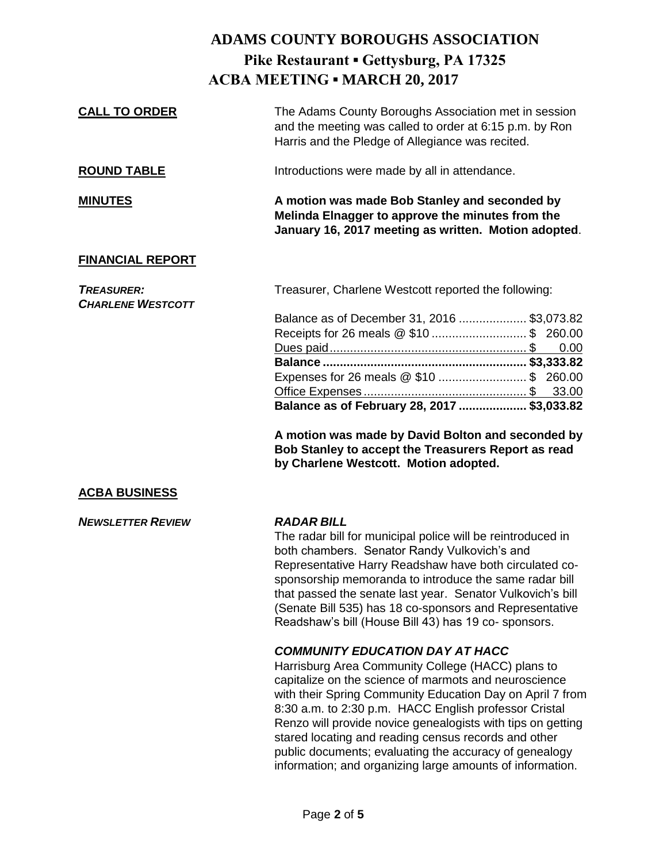| <b>CALL TO ORDER</b>                          | The Adams County Boroughs Association met in session<br>and the meeting was called to order at 6:15 p.m. by Ron<br>Harris and the Pledge of Allegiance was recited.                                                                                                                                                                                                                                                                  |
|-----------------------------------------------|--------------------------------------------------------------------------------------------------------------------------------------------------------------------------------------------------------------------------------------------------------------------------------------------------------------------------------------------------------------------------------------------------------------------------------------|
| <b>ROUND TABLE</b>                            | Introductions were made by all in attendance.                                                                                                                                                                                                                                                                                                                                                                                        |
| <b>MINUTES</b>                                | A motion was made Bob Stanley and seconded by<br>Melinda Elnagger to approve the minutes from the<br>January 16, 2017 meeting as written. Motion adopted.                                                                                                                                                                                                                                                                            |
| <b>FINANCIAL REPORT</b>                       |                                                                                                                                                                                                                                                                                                                                                                                                                                      |
| <b>TREASURER:</b><br><b>CHARLENE WESTCOTT</b> | Treasurer, Charlene Westcott reported the following:                                                                                                                                                                                                                                                                                                                                                                                 |
|                                               | Balance as of December 31, 2016  \$3,073.82<br>Receipts for 26 meals @ \$10  \$ 260.00<br>0.00                                                                                                                                                                                                                                                                                                                                       |
|                                               |                                                                                                                                                                                                                                                                                                                                                                                                                                      |
|                                               | Expenses for 26 meals @ \$10  \$ 260.00                                                                                                                                                                                                                                                                                                                                                                                              |
|                                               |                                                                                                                                                                                                                                                                                                                                                                                                                                      |
|                                               | Balance as of February 28, 2017  \$3,033.82                                                                                                                                                                                                                                                                                                                                                                                          |
|                                               | A motion was made by David Bolton and seconded by<br>Bob Stanley to accept the Treasurers Report as read<br>by Charlene Westcott. Motion adopted.                                                                                                                                                                                                                                                                                    |
| <b>ACBA BUSINESS</b>                          |                                                                                                                                                                                                                                                                                                                                                                                                                                      |
| <b>NEWSLETTER REVIEW</b>                      | <b>RADAR BILL</b><br>The radar bill for municipal police will be reintroduced in<br>both chambers. Senator Randy Vulkovich's and<br>Representative Harry Readshaw have both circulated co-<br>sponsorship memoranda to introduce the same radar bill<br>that passed the senate last year. Senator Vulkovich's bill<br>(Senate Bill 535) has 18 co-sponsors and Representative<br>Readshaw's bill (House Bill 43) has 19 co-sponsors. |
|                                               | <b>COMMUNITY EDUCATION DAY AT HACC</b>                                                                                                                                                                                                                                                                                                                                                                                               |
|                                               | Harrisburg Area Community College (HACC) plans to                                                                                                                                                                                                                                                                                                                                                                                    |
|                                               | capitalize on the science of marmots and neuroscience                                                                                                                                                                                                                                                                                                                                                                                |
|                                               |                                                                                                                                                                                                                                                                                                                                                                                                                                      |

with their Spring Community Education Day on April 7 from 8:30 a.m. to 2:30 p.m. HACC English professor Cristal Renzo will provide novice genealogists with tips on getting stared locating and reading census records and other public documents; evaluating the accuracy of genealogy information; and organizing large amounts of information.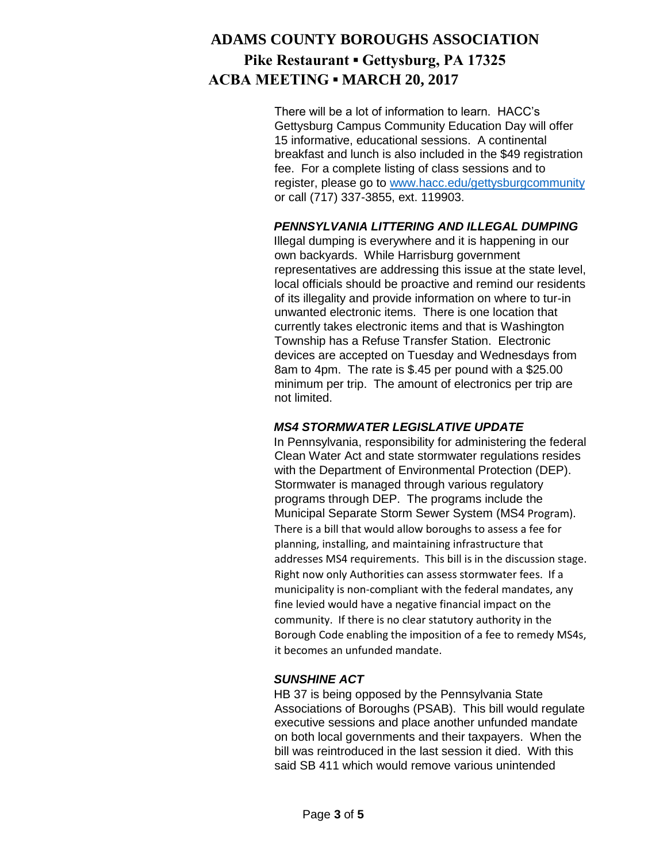There will be a lot of information to learn. HACC's Gettysburg Campus Community Education Day will offer 15 informative, educational sessions. A continental breakfast and lunch is also included in the \$49 registration fee. For a complete listing of class sessions and to register, please go to [www.hacc.edu/gettysburgcommunity](http://www.hacc.edu/gettysburgcommunity) or call (717) 337-3855, ext. 119903.

## *PENNSYLVANIA LITTERING AND ILLEGAL DUMPING*

Illegal dumping is everywhere and it is happening in our own backyards. While Harrisburg government representatives are addressing this issue at the state level, local officials should be proactive and remind our residents of its illegality and provide information on where to tur-in unwanted electronic items. There is one location that currently takes electronic items and that is Washington Township has a Refuse Transfer Station. Electronic devices are accepted on Tuesday and Wednesdays from 8am to 4pm. The rate is \$.45 per pound with a \$25.00 minimum per trip. The amount of electronics per trip are not limited.

## *MS4 STORMWATER LEGISLATIVE UPDATE*

In Pennsylvania, responsibility for administering the federal Clean Water Act and state stormwater regulations resides with the Department of Environmental Protection (DEP). Stormwater is managed through various regulatory programs through DEP. The programs include the Municipal Separate Storm Sewer System (MS4 Program). There is a bill that would allow boroughs to assess a fee for planning, installing, and maintaining infrastructure that addresses MS4 requirements. This bill is in the discussion stage. Right now only Authorities can assess stormwater fees. If a municipality is non-compliant with the federal mandates, any fine levied would have a negative financial impact on the community. If there is no clear statutory authority in the Borough Code enabling the imposition of a fee to remedy MS4s, it becomes an unfunded mandate.

#### *SUNSHINE ACT*

HB 37 is being opposed by the Pennsylvania State Associations of Boroughs (PSAB). This bill would regulate executive sessions and place another unfunded mandate on both local governments and their taxpayers. When the bill was reintroduced in the last session it died. With this said SB 411 which would remove various unintended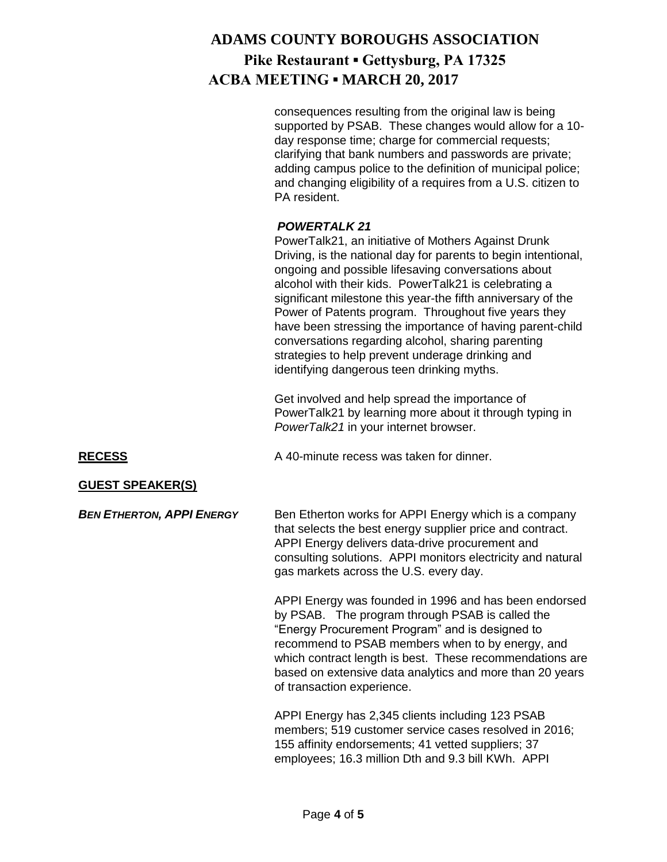consequences resulting from the original law is being supported by PSAB. These changes would allow for a 10 day response time; charge for commercial requests; clarifying that bank numbers and passwords are private; adding campus police to the definition of municipal police; and changing eligibility of a requires from a U.S. citizen to PA resident.

## *POWERTALK 21*

PowerTalk21, an initiative of Mothers Against Drunk Driving, is the national day for parents to begin intentional, ongoing and possible lifesaving conversations about alcohol with their kids. PowerTalk21 is celebrating a significant milestone this year-the fifth anniversary of the Power of Patents program. Throughout five years they have been stressing the importance of having parent-child conversations regarding alcohol, sharing parenting strategies to help prevent underage drinking and identifying dangerous teen drinking myths.

Get involved and help spread the importance of PowerTalk21 by learning more about it through typing in *PowerTalk21* in your internet browser.

**RECESS** A 40-minute recess was taken for dinner.

## **GUEST SPEAKER(S)**

*BEN ETHERTON, APPI ENERGY* Ben Etherton works for APPI Energy which is a company that selects the best energy supplier price and contract. APPI Energy delivers data-drive procurement and consulting solutions. APPI monitors electricity and natural gas markets across the U.S. every day.

> APPI Energy was founded in 1996 and has been endorsed by PSAB. The program through PSAB is called the "Energy Procurement Program" and is designed to recommend to PSAB members when to by energy, and which contract length is best. These recommendations are based on extensive data analytics and more than 20 years of transaction experience.

APPI Energy has 2,345 clients including 123 PSAB members; 519 customer service cases resolved in 2016; 155 affinity endorsements; 41 vetted suppliers; 37 employees; 16.3 million Dth and 9.3 bill KWh. APPI